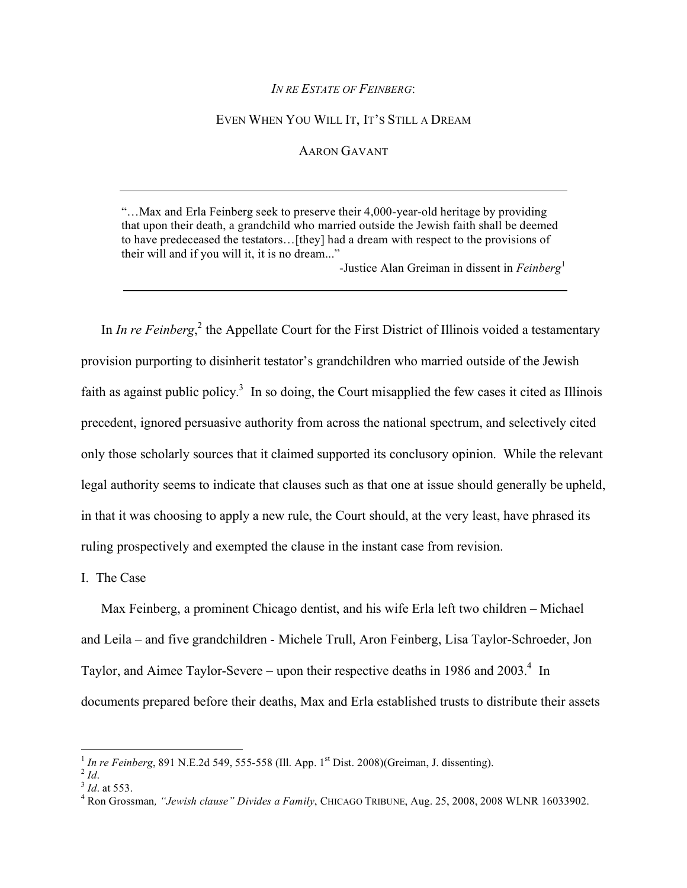## *IN RE ESTATE OF FEINBERG*:

## EVEN WHEN YOU WILL IT, IT'S STILL A DREAM

## AARON GAVANT

"…Max and Erla Feinberg seek to preserve their 4,000-year-old heritage by providing that upon their death, a grandchild who married outside the Jewish faith shall be deemed to have predeceased the testators…[they] had a dream with respect to the provisions of their will and if you will it, it is no dream..."

-Justice Alan Greiman in dissent in *Feinberg*<sup>1</sup>

In *In re Feinberg*<sup>2</sup>, the Appellate Court for the First District of Illinois voided a testamentary provision purporting to disinherit testator's grandchildren who married outside of the Jewish faith as against public policy.<sup>3</sup> In so doing, the Court misapplied the few cases it cited as Illinois precedent, ignored persuasive authority from across the national spectrum, and selectively cited only those scholarly sources that it claimed supported its conclusory opinion. While the relevant legal authority seems to indicate that clauses such as that one at issue should generally be upheld, in that it was choosing to apply a new rule, the Court should, at the very least, have phrased its ruling prospectively and exempted the clause in the instant case from revision.

## I. The Case

Max Feinberg, a prominent Chicago dentist, and his wife Erla left two children – Michael and Leila – and five grandchildren - Michele Trull, Aron Feinberg, Lisa Taylor-Schroeder, Jon Taylor, and Aimee Taylor-Severe – upon their respective deaths in 1986 and  $2003<sup>4</sup>$ . In documents prepared before their deaths, Max and Erla established trusts to distribute their assets

<sup>&</sup>lt;sup>1</sup> *In re Feinberg*, 891 N.E.2d 549, 555-558 (Ill. App. 1<sup>st</sup> Dist. 2008)(Greiman, J. dissenting).<br><sup>2</sup> *Id*. <sup>3</sup> *Id.* at 553.

*Id*. at 553. 4 Ron Grossman*, "Jewish clause" Divides a Family*, CHICAGO TRIBUNE, Aug. 25, 2008, 2008 WLNR 16033902.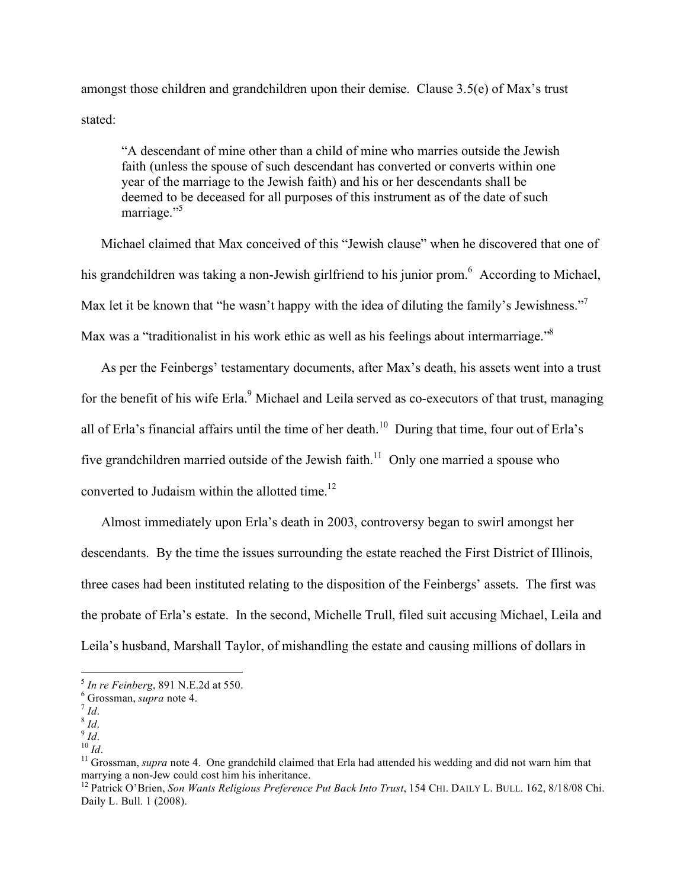amongst those children and grandchildren upon their demise. Clause 3.5(e) of Max's trust stated:

"A descendant of mine other than a child of mine who marries outside the Jewish faith (unless the spouse of such descendant has converted or converts within one year of the marriage to the Jewish faith) and his or her descendants shall be deemed to be deceased for all purposes of this instrument as of the date of such marriage."<sup>5</sup>

Michael claimed that Max conceived of this "Jewish clause" when he discovered that one of his grandchildren was taking a non-Jewish girlfriend to his junior prom.<sup>6</sup> According to Michael, Max let it be known that "he wasn't happy with the idea of diluting the family's Jewishness."<sup>7</sup> Max was a "traditionalist in his work ethic as well as his feelings about intermarriage."<sup>8</sup>

As per the Feinbergs' testamentary documents, after Max's death, his assets went into a trust for the benefit of his wife Erla.<sup>9</sup> Michael and Leila served as co-executors of that trust, managing all of Erla's financial affairs until the time of her death.<sup>10</sup> During that time, four out of Erla's five grandchildren married outside of the Jewish faith.<sup>11</sup> Only one married a spouse who converted to Judaism within the allotted time.<sup>12</sup>

Almost immediately upon Erla's death in 2003, controversy began to swirl amongst her descendants. By the time the issues surrounding the estate reached the First District of Illinois, three cases had been instituted relating to the disposition of the Feinbergs' assets. The first was the probate of Erla's estate. In the second, Michelle Trull, filed suit accusing Michael, Leila and Leila's husband, Marshall Taylor, of mishandling the estate and causing millions of dollars in

 $<sup>5</sup>$  *In re Feinberg*, 891 N.E.2d at 550.<br> $<sup>6</sup>$  Grossman, *supra* note 4.</sup></sup>

From Sales and Sales and Sales and Sales and Sales and Sales and Sales and Sales and Sales and *Id*. 10 *Id*. 10 *Id*. 11 Grossman, *supra* note 4. One grandchild claimed that Erla had attended his wedding and did not warn

<sup>&</sup>lt;sup>12</sup> Patrick O'Brien, *Son Wants Religious Preference Put Back Into Trust*, 154 CHI. DAILY L. BULL. 162, 8/18/08 Chi. Daily L. Bull. 1 (2008).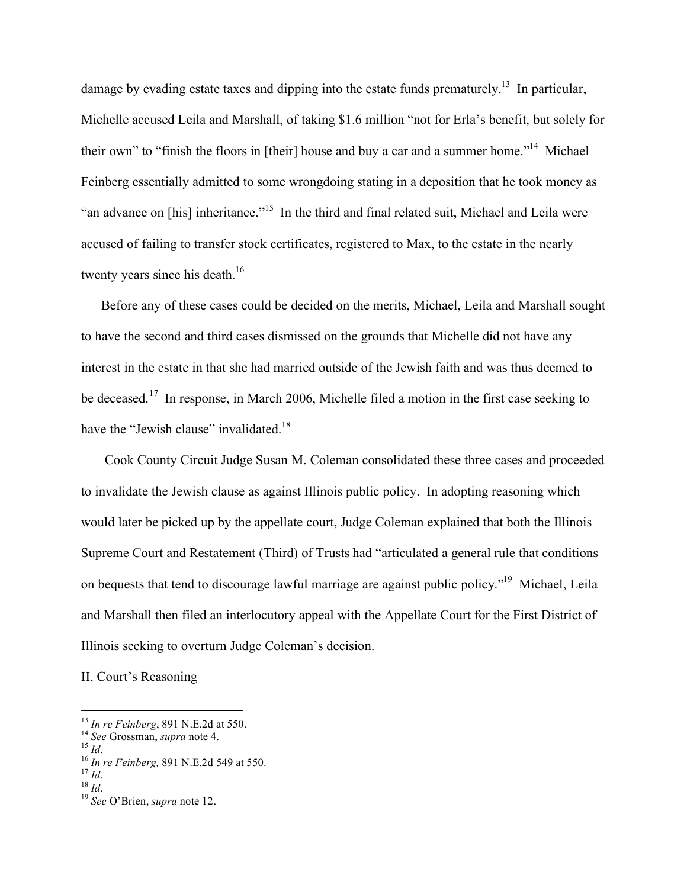damage by evading estate taxes and dipping into the estate funds prematurely.<sup>13</sup> In particular, Michelle accused Leila and Marshall, of taking \$1.6 million "not for Erla's benefit, but solely for their own" to "finish the floors in [their] house and buy a car and a summer home."<sup>14</sup> Michael Feinberg essentially admitted to some wrongdoing stating in a deposition that he took money as "an advance on [his] inheritance."15 In the third and final related suit, Michael and Leila were accused of failing to transfer stock certificates, registered to Max, to the estate in the nearly twenty years since his death.<sup>16</sup>

Before any of these cases could be decided on the merits, Michael, Leila and Marshall sought to have the second and third cases dismissed on the grounds that Michelle did not have any interest in the estate in that she had married outside of the Jewish faith and was thus deemed to be deceased.<sup>17</sup> In response, in March 2006, Michelle filed a motion in the first case seeking to have the "Jewish clause" invalidated.<sup>18</sup>

 Cook County Circuit Judge Susan M. Coleman consolidated these three cases and proceeded to invalidate the Jewish clause as against Illinois public policy. In adopting reasoning which would later be picked up by the appellate court, Judge Coleman explained that both the Illinois Supreme Court and Restatement (Third) of Trusts had "articulated a general rule that conditions on bequests that tend to discourage lawful marriage are against public policy."19 Michael, Leila and Marshall then filed an interlocutory appeal with the Appellate Court for the First District of Illinois seeking to overturn Judge Coleman's decision.

II. Court's Reasoning

<sup>&</sup>lt;sup>13</sup> In re Feinberg, 891 N.E.2d at 550.<br>
<sup>14</sup> See Grossman, *supra* note 4.<br>
<sup>15</sup> Id.<br>
<sup>16</sup> In re Feinberg, 891 N.E.2d 549 at 550.<br>
<sup>17</sup> Id.<br>
<sup>18</sup> Id.<br>
<sup>19</sup> See O'Brien, *supra* note 12.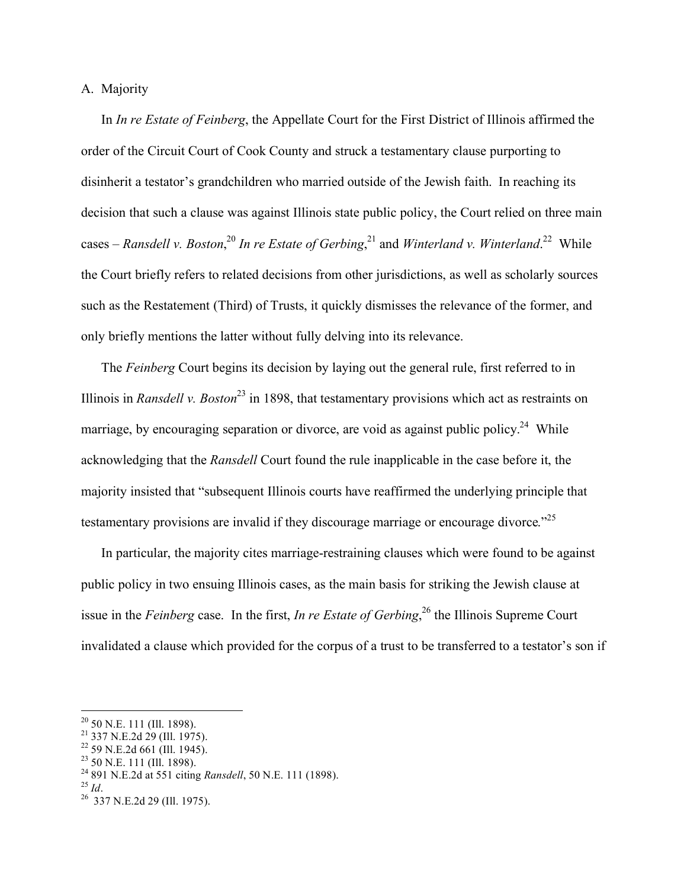# A. Majority

In *In re Estate of Feinberg*, the Appellate Court for the First District of Illinois affirmed the order of the Circuit Court of Cook County and struck a testamentary clause purporting to disinherit a testator's grandchildren who married outside of the Jewish faith. In reaching its decision that such a clause was against Illinois state public policy, the Court relied on three main cases – *Ransdell v. Boston*,<sup>20</sup> In re Estate of Gerbing,<sup>21</sup> and *Winterland v. Winterland*.<sup>22</sup> While the Court briefly refers to related decisions from other jurisdictions, as well as scholarly sources such as the Restatement (Third) of Trusts, it quickly dismisses the relevance of the former, and only briefly mentions the latter without fully delving into its relevance.

The *Feinberg* Court begins its decision by laying out the general rule, first referred to in Illinois in *Ransdell v. Boston*<sup>23</sup> in 1898, that testamentary provisions which act as restraints on marriage, by encouraging separation or divorce, are void as against public policy.<sup>24</sup> While acknowledging that the *Ransdell* Court found the rule inapplicable in the case before it, the majority insisted that "subsequent Illinois courts have reaffirmed the underlying principle that testamentary provisions are invalid if they discourage marriage or encourage divorce."<sup>25</sup>

In particular, the majority cites marriage-restraining clauses which were found to be against public policy in two ensuing Illinois cases, as the main basis for striking the Jewish clause at issue in the *Feinberg* case. In the first, *In re Estate of Gerbing*, 26 the Illinois Supreme Court invalidated a clause which provided for the corpus of a trust to be transferred to a testator's son if

<sup>20&</sup>lt;br><sup>20</sup> 50 N.E. 111 (Ill. 1898).<br><sup>21</sup> 337 N.E.2d 29 (Ill. 1975).

 $22$  59 N.E.2d 661 (Ill. 1945).

<sup>&</sup>lt;sup>23</sup> 50 N.E. 111 (Ill. 1898).<br><sup>24</sup> 891 N.E.2d at 551 citing *Ransdell*, 50 N.E. 111 (1898).<br><sup>25</sup> *Id.* <sup>26</sup> 337 N.E.2d 29 (Ill. 1975).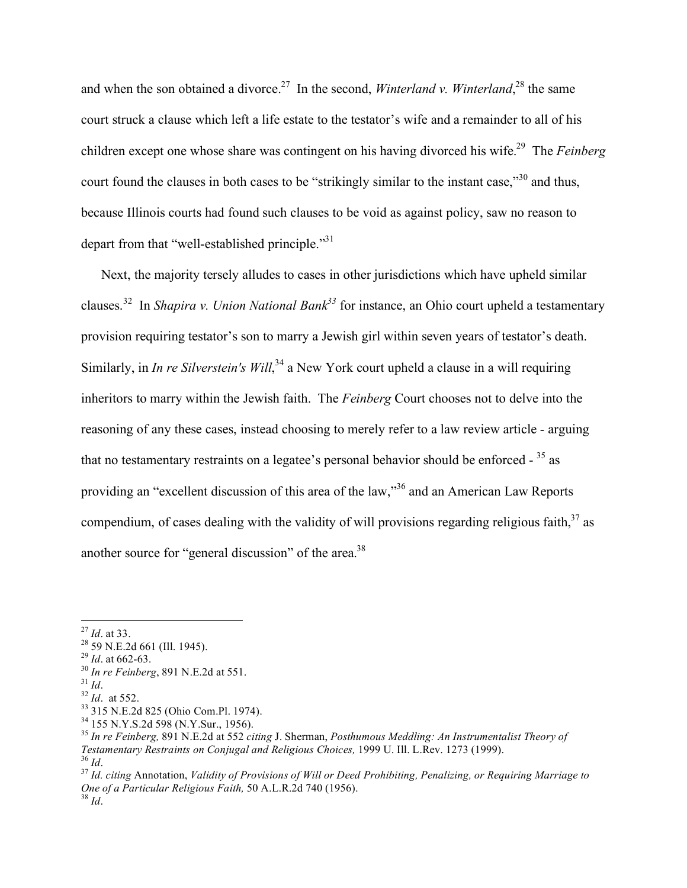and when the son obtained a divorce.<sup>27</sup> In the second, *Winterland v. Winterland*,<sup>28</sup> the same court struck a clause which left a life estate to the testator's wife and a remainder to all of his children except one whose share was contingent on his having divorced his wife.29 The *Feinberg*  court found the clauses in both cases to be "strikingly similar to the instant case,"<sup>30</sup> and thus, because Illinois courts had found such clauses to be void as against policy, saw no reason to depart from that "well-established principle."<sup>31</sup>

Next, the majority tersely alludes to cases in other jurisdictions which have upheld similar clauses.<sup>32</sup> In *Shapira v. Union National Bank*<sup>33</sup> for instance, an Ohio court upheld a testamentary provision requiring testator's son to marry a Jewish girl within seven years of testator's death. Similarly, in *In re Silverstein's Will*,<sup>34</sup> a New York court upheld a clause in a will requiring inheritors to marry within the Jewish faith. The *Feinberg* Court chooses not to delve into the reasoning of any these cases, instead choosing to merely refer to a law review article - arguing that no testamentary restraints on a legatee's personal behavior should be enforced  $-35$  as providing an "excellent discussion of this area of the law,"<sup>36</sup> and an American Law Reports compendium, of cases dealing with the validity of will provisions regarding religious faith,  $37$  as another source for "general discussion" of the area.<sup>38</sup>

<sup>&</sup>lt;sup>27</sup> *Id.* at 33.<br><sup>28</sup> 59 N.E.2d 661 (Ill. 1945).<br><sup>29</sup> *Id.* at 662-63.

<sup>&</sup>lt;sup>30</sup> In re Feinberg, 891 N.E.2d at 551.<br><sup>31</sup> Id.<br><sup>32</sup> Id. at 552.<br><sup>33</sup> 315 N.E.2d 825 (Ohio Com.Pl. 1974).<br><sup>34</sup> 155 N.Y.S.2d 598 (N.Y.Sur., 1956).<br><sup>35</sup> In re Feinberg, 891 N.E.2d at 552 citing J. Sherman, *Posthumous Medd* Testamentary Restraints on Conjugal and Religious Choices, 1999 U. Ill. L.Rev. 1273 (1999).<br><sup>36</sup> Id.<br><sup>37</sup> Id. citing Annotation, Validity of Provisions of Will or Deed Prohibiting, Penalizing, or Requiring Marriage to

*One of a Particular Religious Faith,* 50 A.L.R.2d 740 (1956). <sup>38</sup> *Id*.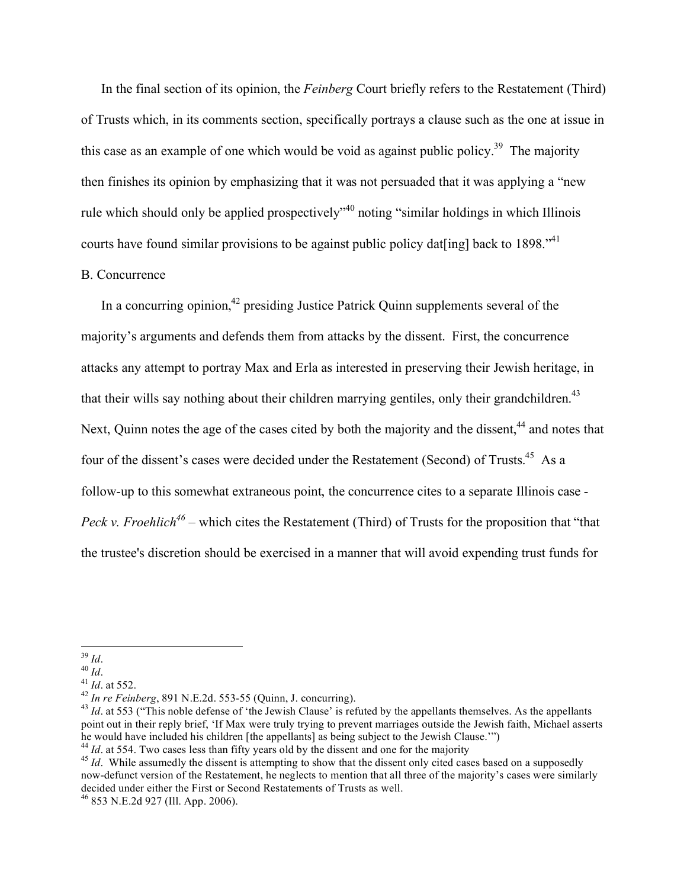In the final section of its opinion, the *Feinberg* Court briefly refers to the Restatement (Third) of Trusts which, in its comments section, specifically portrays a clause such as the one at issue in this case as an example of one which would be void as against public policy.<sup>39</sup> The majority then finishes its opinion by emphasizing that it was not persuaded that it was applying a "new rule which should only be applied prospectively<sup>340</sup> noting "similar holdings in which Illinois courts have found similar provisions to be against public policy dat[ing] back to 1898.<sup> $41$ </sup>

## B. Concurrence

In a concurring opinion,<sup>42</sup> presiding Justice Patrick Quinn supplements several of the majority's arguments and defends them from attacks by the dissent. First, the concurrence attacks any attempt to portray Max and Erla as interested in preserving their Jewish heritage, in that their wills say nothing about their children marrying gentiles, only their grandchildren.<sup>43</sup> Next, Quinn notes the age of the cases cited by both the majority and the dissent,<sup>44</sup> and notes that four of the dissent's cases were decided under the Restatement (Second) of Trusts.<sup>45</sup> As a follow-up to this somewhat extraneous point, the concurrence cites to a separate Illinois case - *Peck v. Froehlich*<sup>46</sup> – which cites the Restatement (Third) of Trusts for the proposition that "that" the trustee's discretion should be exercised in a manner that will avoid expending trust funds for

<sup>&</sup>lt;sup>39</sup> *Id.*<br><sup>40</sup> *Id.*<br><sup>41</sup> *Id.* at 552.<br><sup>42</sup> *In re Feinberg*, 891 N.E.2d. 553-55 (Quinn, J. concurring).<br><sup>43</sup> *Id.* at 553 ("This noble defense of 'the Jewish Clause' is refuted by the appellants themselves. As the appe point out in their reply brief, 'If Max were truly trying to prevent marriages outside the Jewish faith, Michael asserts he would have included his children [the appellants] as being subject to the Jewish Clause."")

 $^{44}$  *Id.* at 554. Two cases less than fifty years old by the dissent and one for the majority<br> $^{45}$  *Id.* While assumedly the dissent is attempting to show that the dissent only cited cases based on a supposedly now-defunct version of the Restatement, he neglects to mention that all three of the majority's cases were similarly decided under either the First or Second Restatements of Trusts as well. 46 853 N.E.2d 927 (Ill. App. 2006).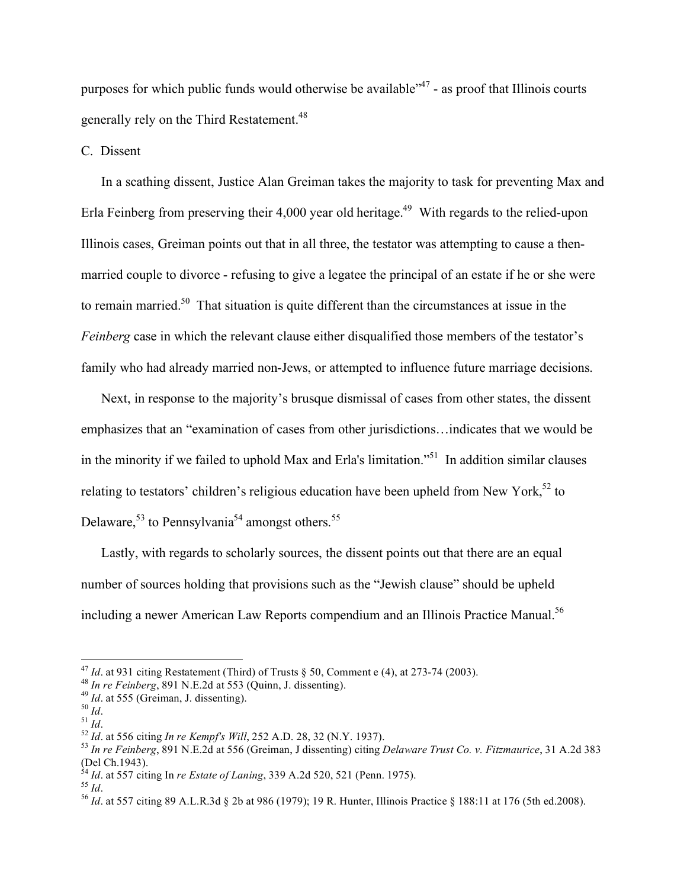purposes for which public funds would otherwise be available $1/47$  - as proof that Illinois courts generally rely on the Third Restatement.<sup>48</sup>

C. Dissent

In a scathing dissent, Justice Alan Greiman takes the majority to task for preventing Max and Erla Feinberg from preserving their 4,000 year old heritage.<sup>49</sup> With regards to the relied-upon Illinois cases, Greiman points out that in all three, the testator was attempting to cause a thenmarried couple to divorce - refusing to give a legatee the principal of an estate if he or she were to remain married.50 That situation is quite different than the circumstances at issue in the *Feinberg* case in which the relevant clause either disqualified those members of the testator's family who had already married non-Jews, or attempted to influence future marriage decisions.

Next, in response to the majority's brusque dismissal of cases from other states, the dissent emphasizes that an "examination of cases from other jurisdictions…indicates that we would be in the minority if we failed to uphold Max and Erla's limitation."<sup>51</sup> In addition similar clauses relating to testators' children's religious education have been upheld from New York,<sup>52</sup> to Delaware,<sup>53</sup> to Pennsylvania<sup>54</sup> amongst others.<sup>55</sup>

Lastly, with regards to scholarly sources, the dissent points out that there are an equal number of sources holding that provisions such as the "Jewish clause" should be upheld including a newer American Law Reports compendium and an Illinois Practice Manual.<sup>56</sup>

<sup>&</sup>lt;sup>47</sup> *Id.* at 931 citing Restatement (Third) of Trusts § 50, Comment e (4), at 273-74 (2003).<br><sup>48</sup> *In re Feinberg*, 891 N.E.2d at 553 (Quinn, J. dissenting).<br><sup>49</sup> *Id.* at 555 (Greiman, J. dissenting).<br><sup>50</sup> *Id.*<br><sup>51</sup> *I* 

<sup>(</sup>Del Ch.1943).<br><sup>54</sup> *Id.* at 557 citing In *re Estate of Laning*, 339 A.2d 520, 521 (Penn. 1975).<br><sup>55</sup> *Id.*<br><sup>56</sup> *Id.* at 557 citing 89 A.L.R.3d § 2b at 986 (1979); 19 R. Hunter, Illinois Practice § 188:11 at 176 (5th ed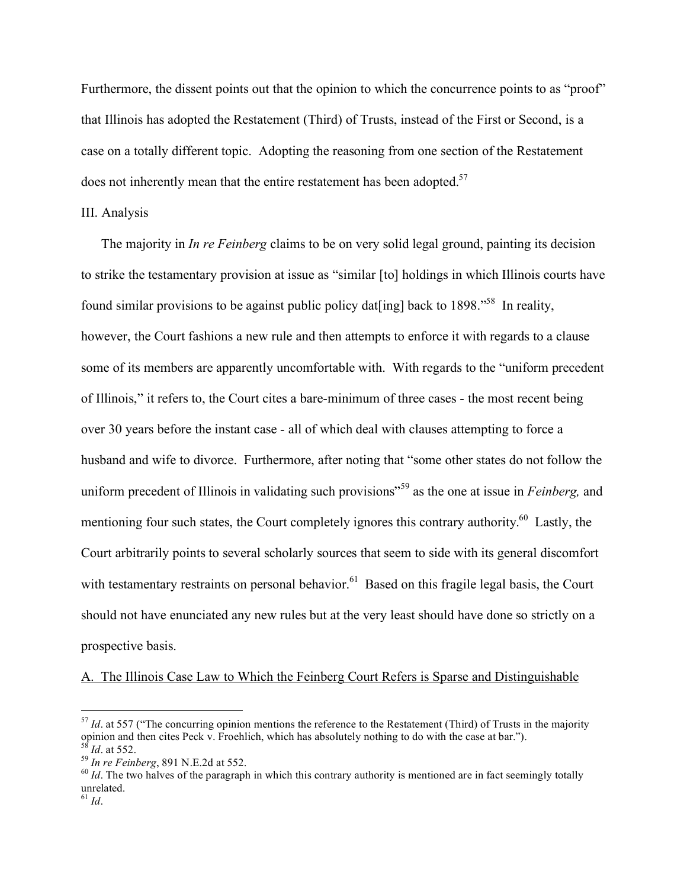Furthermore, the dissent points out that the opinion to which the concurrence points to as "proof" that Illinois has adopted the Restatement (Third) of Trusts, instead of the First or Second, is a case on a totally different topic. Adopting the reasoning from one section of the Restatement does not inherently mean that the entire restatement has been adopted. $57$ 

## III. Analysis

The majority in *In re Feinberg* claims to be on very solid legal ground, painting its decision to strike the testamentary provision at issue as "similar [to] holdings in which Illinois courts have found similar provisions to be against public policy dat [ing] back to 1898.<sup>58</sup> In reality, however, the Court fashions a new rule and then attempts to enforce it with regards to a clause some of its members are apparently uncomfortable with. With regards to the "uniform precedent of Illinois," it refers to, the Court cites a bare-minimum of three cases - the most recent being over 30 years before the instant case - all of which deal with clauses attempting to force a husband and wife to divorce. Furthermore, after noting that "some other states do not follow the uniform precedent of Illinois in validating such provisions" <sup>59</sup> as the one at issue in *Feinberg,* and mentioning four such states, the Court completely ignores this contrary authority.<sup>60</sup> Lastly, the Court arbitrarily points to several scholarly sources that seem to side with its general discomfort with testamentary restraints on personal behavior.<sup>61</sup> Based on this fragile legal basis, the Court should not have enunciated any new rules but at the very least should have done so strictly on a prospective basis.

A. The Illinois Case Law to Which the Feinberg Court Refers is Sparse and Distinguishable

 $57$  *Id.* at 557 ("The concurring opinion mentions the reference to the Restatement (Third) of Trusts in the majority opinion and then cites Peck v. Froehlich, which has absolutely nothing to do with the case at bar.").<br><sup>58</sup> *Id.* at 552.<br><sup>59</sup> *In re Feinberg*, 891 N.E.2d at 552.<br><sup>60</sup> *Id.* The two halves of the paragraph in which this c

unrelated.

 $^{61}$  *Id.*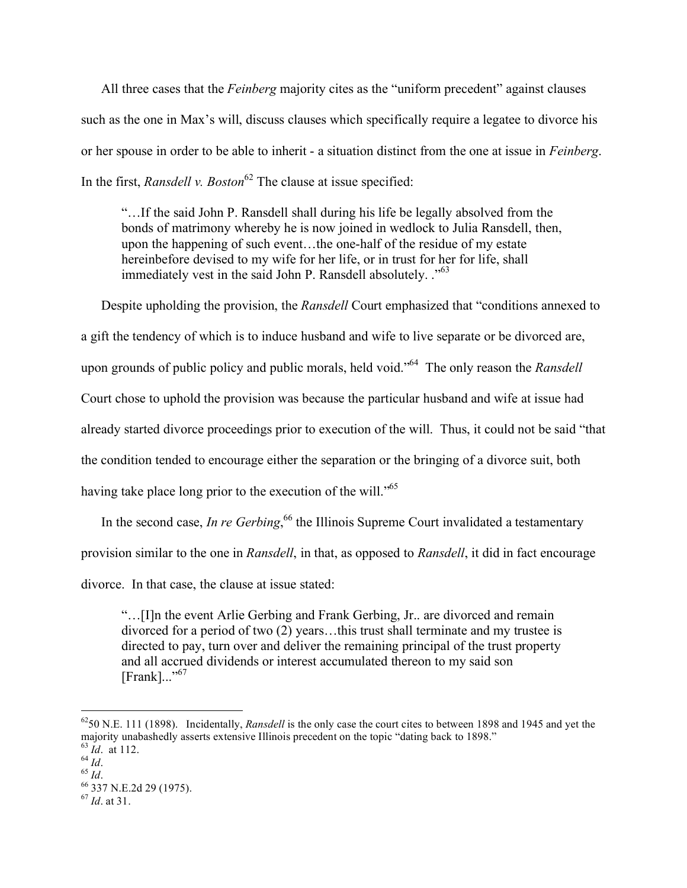All three cases that the *Feinberg* majority cites as the "uniform precedent" against clauses such as the one in Max's will, discuss clauses which specifically require a legatee to divorce his or her spouse in order to be able to inherit - a situation distinct from the one at issue in *Feinberg*. In the first, *Ransdell v. Boston*<sup>62</sup> The clause at issue specified:

"…If the said John P. Ransdell shall during his life be legally absolved from the bonds of matrimony whereby he is now joined in wedlock to Julia Ransdell, then, upon the happening of such event…the one-half of the residue of my estate hereinbefore devised to my wife for her life, or in trust for her for life, shall immediately vest in the said John P. Ransdell absolutely. ."<sup>63</sup>

Despite upholding the provision, the *Ransdell* Court emphasized that "conditions annexed to a gift the tendency of which is to induce husband and wife to live separate or be divorced are, upon grounds of public policy and public morals, held void." 64 The only reason the *Ransdell*  Court chose to uphold the provision was because the particular husband and wife at issue had already started divorce proceedings prior to execution of the will. Thus, it could not be said "that the condition tended to encourage either the separation or the bringing of a divorce suit, both having take place long prior to the execution of the will."<sup>65</sup>

In the second case, *In re Gerbing*, <sup>66</sup> the Illinois Supreme Court invalidated a testamentary provision similar to the one in *Ransdell*, in that, as opposed to *Ransdell*, it did in fact encourage divorce. In that case, the clause at issue stated:

"…[I]n the event Arlie Gerbing and Frank Gerbing, Jr.. are divorced and remain divorced for a period of two (2) years…this trust shall terminate and my trustee is directed to pay, turn over and deliver the remaining principal of the trust property and all accrued dividends or interest accumulated thereon to my said son  $[Frank]...$ "<sup>67</sup>

 <sup>6250</sup> N.E. 111 (1898). Incidentally, *Ransdell* is the only case the court cites to between 1898 and 1945 and yet the majority unabashedly asserts extensive Illinois precedent on the topic "dating back to 1898."<br>
<sup>64</sup> *Id*. at 112.<br>
<sup>65</sup> *Id*. 65 *Id*.<br>
<sup>66</sup> 337 N.E.2d 29 (1975).<br>
<sup>67</sup> *Id*. at 31.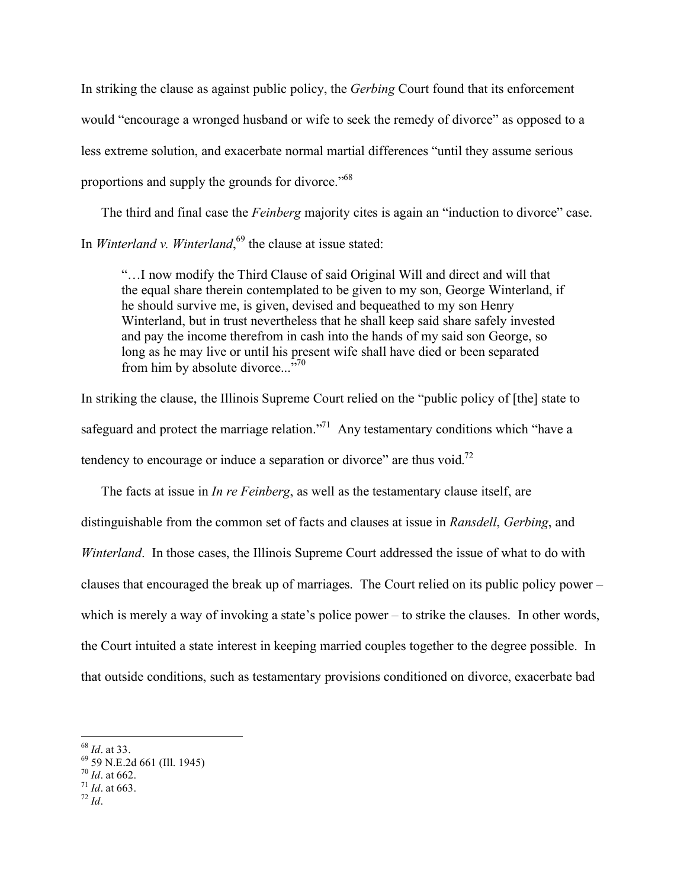In striking the clause as against public policy, the *Gerbing* Court found that its enforcement would "encourage a wronged husband or wife to seek the remedy of divorce" as opposed to a less extreme solution, and exacerbate normal martial differences "until they assume serious proportions and supply the grounds for divorce."<sup>68</sup>

The third and final case the *Feinberg* majority cites is again an "induction to divorce" case. In *Winterland v. Winterland*, 69 the clause at issue stated:

"…I now modify the Third Clause of said Original Will and direct and will that the equal share therein contemplated to be given to my son, George Winterland, if he should survive me, is given, devised and bequeathed to my son Henry Winterland, but in trust nevertheless that he shall keep said share safely invested and pay the income therefrom in cash into the hands of my said son George, so long as he may live or until his present wife shall have died or been separated from him by absolute divorce... $^{370}$ 

In striking the clause, the Illinois Supreme Court relied on the "public policy of [the] state to safeguard and protect the marriage relation."<sup>71</sup> Any testamentary conditions which "have a tendency to encourage or induce a separation or divorce" are thus void.<sup>72</sup>

The facts at issue in *In re Feinberg*, as well as the testamentary clause itself, are distinguishable from the common set of facts and clauses at issue in *Ransdell*, *Gerbing*, and *Winterland*. In those cases, the Illinois Supreme Court addressed the issue of what to do with clauses that encouraged the break up of marriages. The Court relied on its public policy power – which is merely a way of invoking a state's police power – to strike the clauses. In other words, the Court intuited a state interest in keeping married couples together to the degree possible. In that outside conditions, such as testamentary provisions conditioned on divorce, exacerbate bad

<sup>68</sup> *Id.* at 33.<br>69 59 N.E.2d 661 (Ill. 1945)<br><sup>70</sup> *Id.* at 662.<br><sup>71</sup> *Id.* at 663.<br><sup>72</sup> *Id*.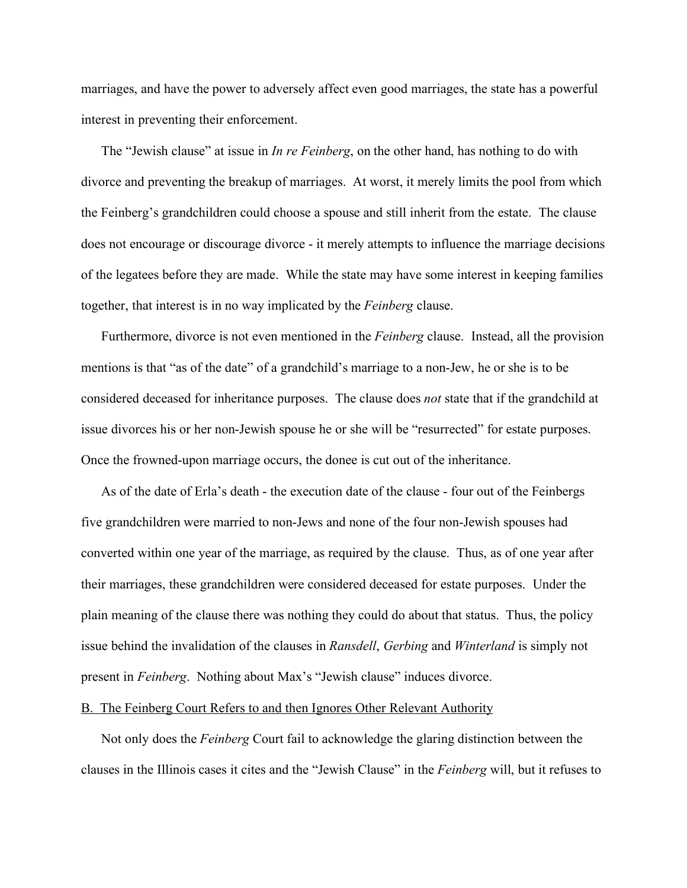marriages, and have the power to adversely affect even good marriages, the state has a powerful interest in preventing their enforcement.

The "Jewish clause" at issue in *In re Feinberg*, on the other hand, has nothing to do with divorce and preventing the breakup of marriages. At worst, it merely limits the pool from which the Feinberg's grandchildren could choose a spouse and still inherit from the estate. The clause does not encourage or discourage divorce - it merely attempts to influence the marriage decisions of the legatees before they are made. While the state may have some interest in keeping families together, that interest is in no way implicated by the *Feinberg* clause.

Furthermore, divorce is not even mentioned in the *Feinberg* clause. Instead, all the provision mentions is that "as of the date" of a grandchild's marriage to a non-Jew, he or she is to be considered deceased for inheritance purposes. The clause does *not* state that if the grandchild at issue divorces his or her non-Jewish spouse he or she will be "resurrected" for estate purposes. Once the frowned-upon marriage occurs, the donee is cut out of the inheritance.

As of the date of Erla's death - the execution date of the clause - four out of the Feinbergs five grandchildren were married to non-Jews and none of the four non-Jewish spouses had converted within one year of the marriage, as required by the clause. Thus, as of one year after their marriages, these grandchildren were considered deceased for estate purposes. Under the plain meaning of the clause there was nothing they could do about that status. Thus, the policy issue behind the invalidation of the clauses in *Ransdell*, *Gerbing* and *Winterland* is simply not present in *Feinberg*. Nothing about Max's "Jewish clause" induces divorce.

### B. The Feinberg Court Refers to and then Ignores Other Relevant Authority

Not only does the *Feinberg* Court fail to acknowledge the glaring distinction between the clauses in the Illinois cases it cites and the "Jewish Clause" in the *Feinberg* will, but it refuses to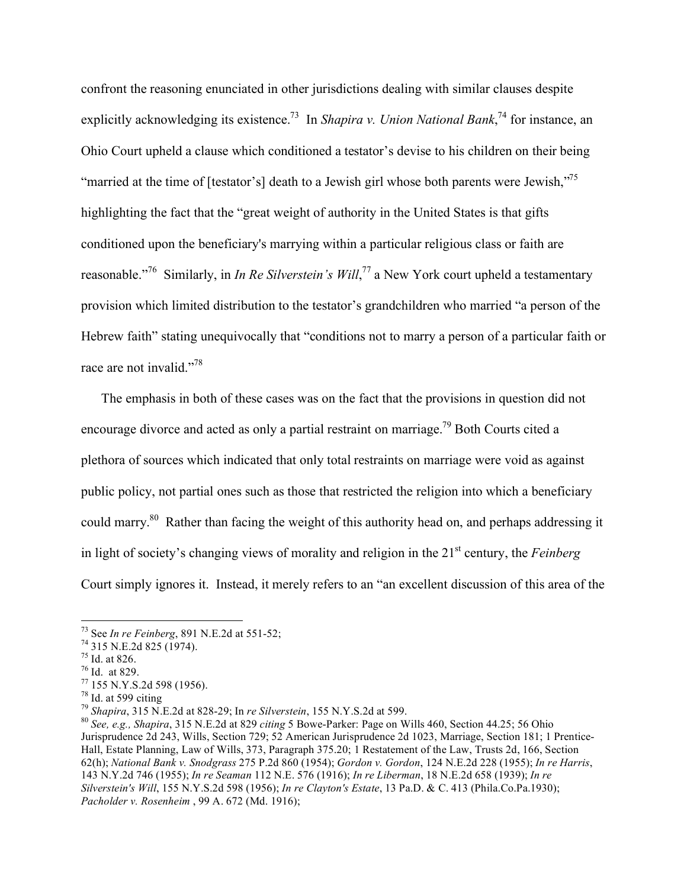confront the reasoning enunciated in other jurisdictions dealing with similar clauses despite explicitly acknowledging its existence.<sup>73</sup> In *Shapira v. Union National Bank*,<sup>74</sup> for instance, an Ohio Court upheld a clause which conditioned a testator's devise to his children on their being "married at the time of [testator's] death to a Jewish girl whose both parents were Jewish,"<sup>75</sup> highlighting the fact that the "great weight of authority in the United States is that gifts conditioned upon the beneficiary's marrying within a particular religious class or faith are reasonable."76 Similarly, in *In Re Silverstein's Will*, 77 a New York court upheld a testamentary provision which limited distribution to the testator's grandchildren who married "a person of the Hebrew faith" stating unequivocally that "conditions not to marry a person of a particular faith or race are not invalid."<sup>78</sup>

The emphasis in both of these cases was on the fact that the provisions in question did not encourage divorce and acted as only a partial restraint on marriage.<sup>79</sup> Both Courts cited a plethora of sources which indicated that only total restraints on marriage were void as against public policy, not partial ones such as those that restricted the religion into which a beneficiary could marry.<sup>80</sup> Rather than facing the weight of this authority head on, and perhaps addressing it in light of society's changing views of morality and religion in the 21<sup>st</sup> century, the *Feinberg* Court simply ignores it. Instead, it merely refers to an "an excellent discussion of this area of the

 <sup>73</sup> See *In re Feinberg*, 891 N.E.2d at 551-52; 74 315 N.E.2d 825 (1974). 75 Id. at 826.

<sup>76</sup> Id. at 829.

<sup>&</sup>lt;sup>77</sup> 155 N.Y.S.2d 598 (1956).<br><sup>78</sup> Id. at 599 citing<br><sup>79</sup> Shapira, 315 N.E.2d at 828-29; In *re Silverstein*, 155 N.Y.S.2d at 599.

<sup>&</sup>lt;sup>80</sup> See, e.g., Shapira, 315 N.E.2d at 829 *citing* 5 Bowe-Parker: Page on Wills 460, Section 44.25; 56 Ohio Jurisprudence 2d 243, Wills, Section 729; 52 American Jurisprudence 2d 1023, Marriage, Section 181; 1 Prentice-Hall, Estate Planning, Law of Wills, 373, Paragraph 375.20; 1 Restatement of the Law, Trusts 2d, 166, Section 62(h); *National Bank v. Snodgrass* 275 P.2d 860 (1954); *Gordon v. Gordon*, 124 N.E.2d 228 (1955); *In re Harris*, 143 N.Y.2d 746 (1955); *In re Seaman* 112 N.E. 576 (1916); *In re Liberman*, 18 N.E.2d 658 (1939); *In re Silverstein's Will*, 155 N.Y.S.2d 598 (1956); *In re Clayton's Estate*, 13 Pa.D. & C. 413 (Phila.Co.Pa.1930); *Pacholder v. Rosenheim* , 99 A. 672 (Md. 1916);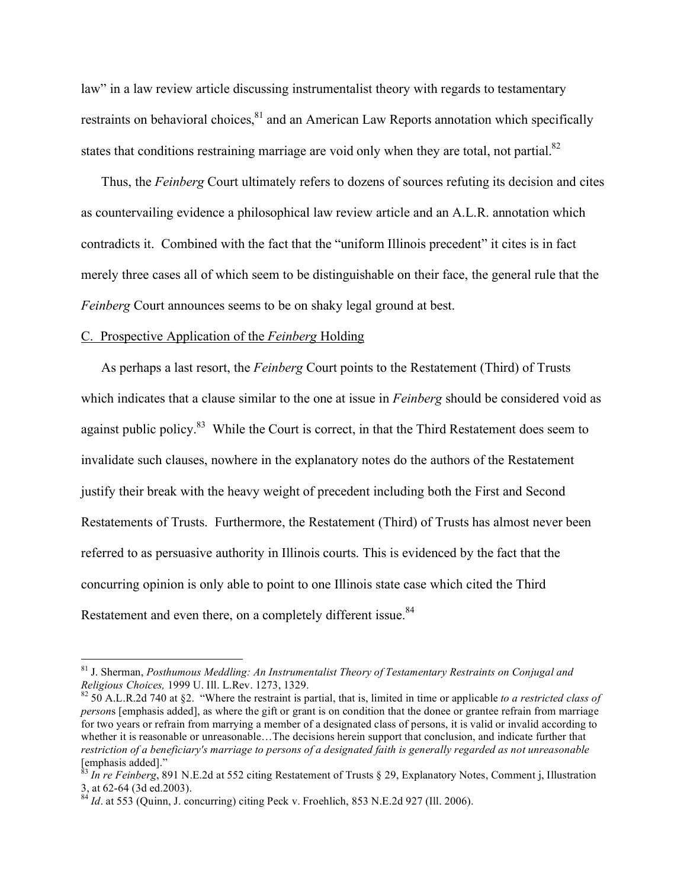law" in a law review article discussing instrumentalist theory with regards to testamentary restraints on behavioral choices, <sup>81</sup> and an American Law Reports annotation which specifically states that conditions restraining marriage are void only when they are total, not partial.<sup>82</sup>

Thus, the *Feinberg* Court ultimately refers to dozens of sources refuting its decision and cites as countervailing evidence a philosophical law review article and an A.L.R. annotation which contradicts it. Combined with the fact that the "uniform Illinois precedent" it cites is in fact merely three cases all of which seem to be distinguishable on their face, the general rule that the *Feinberg* Court announces seems to be on shaky legal ground at best.

### C. Prospective Application of the *Feinberg* Holding

As perhaps a last resort, the *Feinberg* Court points to the Restatement (Third) of Trusts which indicates that a clause similar to the one at issue in *Feinberg* should be considered void as against public policy.<sup>83</sup> While the Court is correct, in that the Third Restatement does seem to invalidate such clauses, nowhere in the explanatory notes do the authors of the Restatement justify their break with the heavy weight of precedent including both the First and Second Restatements of Trusts. Furthermore, the Restatement (Third) of Trusts has almost never been referred to as persuasive authority in Illinois courts. This is evidenced by the fact that the concurring opinion is only able to point to one Illinois state case which cited the Third Restatement and even there, on a completely different issue.<sup>84</sup>

 <sup>81</sup> J. Sherman, *Posthumous Meddling: An Instrumentalist Theory of Testamentary Restraints on Conjugal and* 

*Religious Choices,* 1999 U. Ill. L.Rev. 1273, 1329. 82 50 A.L.R.2d 740 at §2. "Where the restraint is partial, that is, limited in time or applicable *to a restricted class of person*s [emphasis added], as where the gift or grant is on condition that the donee or grantee refrain from marriage for two years or refrain from marrying a member of a designated class of persons, it is valid or invalid according to whether it is reasonable or unreasonable...The decisions herein support that conclusion, and indicate further that *restriction of a beneficiary's marriage to persons of a designated faith is generally regarded as not unreasonable* [emphasis added]."

<sup>83</sup> *In re Feinberg*, 891 N.E.2d at 552 citing Restatement of Trusts § 29, Explanatory Notes, Comment j, Illustration 3, at 62-64 (3d ed.2003). <sup>84</sup> *Id*. at 553 (Quinn, J. concurring) citing Peck v. Froehlich, 853 N.E.2d 927 (Ill. 2006).